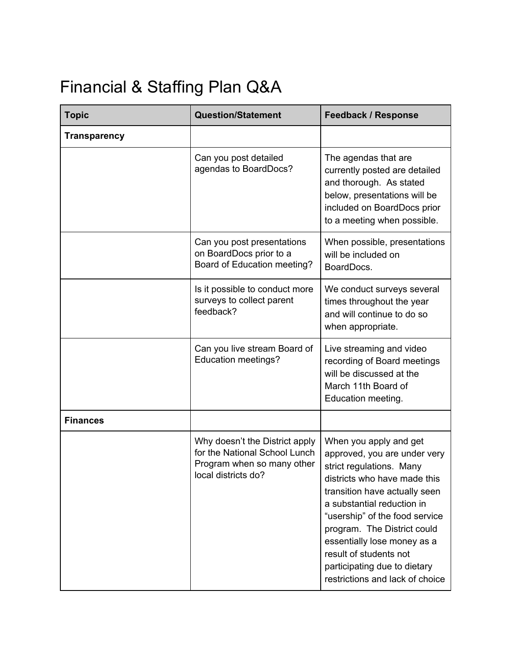## Financial & Staffing Plan Q&A

| <b>Topic</b>        | <b>Question/Statement</b>                                                                                            | <b>Feedback / Response</b>                                                                                                                                                                                                                                                                                                                                                     |
|---------------------|----------------------------------------------------------------------------------------------------------------------|--------------------------------------------------------------------------------------------------------------------------------------------------------------------------------------------------------------------------------------------------------------------------------------------------------------------------------------------------------------------------------|
| <b>Transparency</b> |                                                                                                                      |                                                                                                                                                                                                                                                                                                                                                                                |
|                     | Can you post detailed<br>agendas to BoardDocs?                                                                       | The agendas that are<br>currently posted are detailed<br>and thorough. As stated<br>below, presentations will be<br>included on BoardDocs prior<br>to a meeting when possible.                                                                                                                                                                                                 |
|                     | Can you post presentations<br>on BoardDocs prior to a<br>Board of Education meeting?                                 | When possible, presentations<br>will be included on<br>BoardDocs.                                                                                                                                                                                                                                                                                                              |
|                     | Is it possible to conduct more<br>surveys to collect parent<br>feedback?                                             | We conduct surveys several<br>times throughout the year<br>and will continue to do so<br>when appropriate.                                                                                                                                                                                                                                                                     |
|                     | Can you live stream Board of<br><b>Education meetings?</b>                                                           | Live streaming and video<br>recording of Board meetings<br>will be discussed at the<br>March 11th Board of<br>Education meeting.                                                                                                                                                                                                                                               |
| <b>Finances</b>     |                                                                                                                      |                                                                                                                                                                                                                                                                                                                                                                                |
|                     | Why doesn't the District apply<br>for the National School Lunch<br>Program when so many other<br>local districts do? | When you apply and get<br>approved, you are under very<br>strict regulations. Many<br>districts who have made this<br>transition have actually seen<br>a substantial reduction in<br>"usership" of the food service<br>program. The District could<br>essentially lose money as a<br>result of students not<br>participating due to dietary<br>restrictions and lack of choice |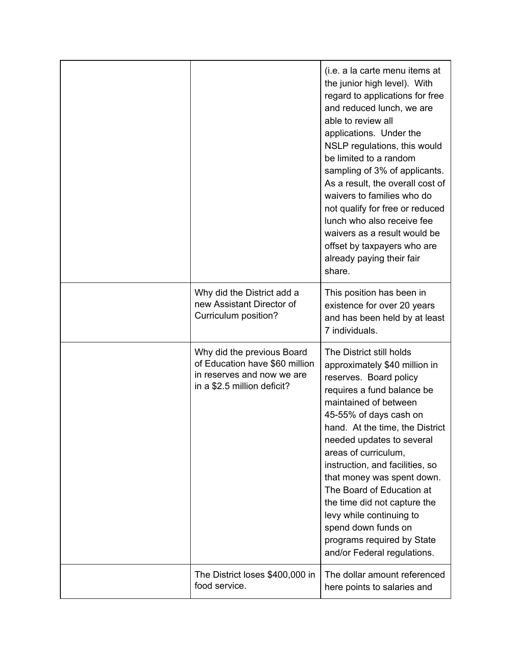|                                                                                                                           | (i.e. a la carte menu items at<br>the junior high level). With<br>regard to applications for free<br>and reduced lunch, we are<br>able to review all<br>applications. Under the<br>NSLP regulations, this would<br>be limited to a random<br>sampling of 3% of applicants.<br>As a result, the overall cost of<br>waivers to families who do<br>not qualify for free or reduced<br>lunch who also receive fee<br>waivers as a result would be<br>offset by taxpayers who are<br>already paying their fair<br>share. |
|---------------------------------------------------------------------------------------------------------------------------|---------------------------------------------------------------------------------------------------------------------------------------------------------------------------------------------------------------------------------------------------------------------------------------------------------------------------------------------------------------------------------------------------------------------------------------------------------------------------------------------------------------------|
| Why did the District add a<br>new Assistant Director of<br>Curriculum position?                                           | This position has been in<br>existence for over 20 years<br>and has been held by at least<br>7 individuals.                                                                                                                                                                                                                                                                                                                                                                                                         |
| Why did the previous Board<br>of Education have \$60 million<br>in reserves and now we are<br>in a \$2.5 million deficit? | The District still holds<br>approximately \$40 million in<br>reserves. Board policy<br>requires a fund balance be<br>maintained of between<br>45-55% of days cash on<br>hand. At the time, the District<br>needed updates to several<br>areas of curriculum,<br>instruction, and facilities, so<br>that money was spent down.<br>The Board of Education at<br>the time did not capture the<br>levy while continuing to<br>spend down funds on<br>programs required by State<br>and/or Federal regulations.          |
| The District loses \$400,000 in<br>food service.                                                                          | The dollar amount referenced<br>here points to salaries and                                                                                                                                                                                                                                                                                                                                                                                                                                                         |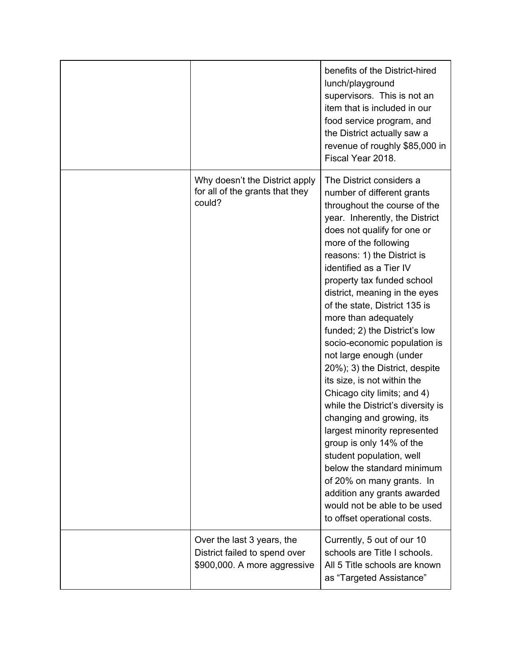|                                                                                             | benefits of the District-hired<br>lunch/playground<br>supervisors. This is not an<br>item that is included in our<br>food service program, and<br>the District actually saw a<br>revenue of roughly \$85,000 in<br>Fiscal Year 2018.                                                                                                                                                                                                                                                                                                                                                                                                                                                                                                                                                                                                                                               |
|---------------------------------------------------------------------------------------------|------------------------------------------------------------------------------------------------------------------------------------------------------------------------------------------------------------------------------------------------------------------------------------------------------------------------------------------------------------------------------------------------------------------------------------------------------------------------------------------------------------------------------------------------------------------------------------------------------------------------------------------------------------------------------------------------------------------------------------------------------------------------------------------------------------------------------------------------------------------------------------|
| Why doesn't the District apply<br>for all of the grants that they<br>could?                 | The District considers a<br>number of different grants<br>throughout the course of the<br>year. Inherently, the District<br>does not qualify for one or<br>more of the following<br>reasons: 1) the District is<br>identified as a Tier IV<br>property tax funded school<br>district, meaning in the eyes<br>of the state, District 135 is<br>more than adequately<br>funded; 2) the District's low<br>socio-economic population is<br>not large enough (under<br>20%); 3) the District, despite<br>its size, is not within the<br>Chicago city limits; and 4)<br>while the District's diversity is<br>changing and growing, its<br>largest minority represented<br>group is only 14% of the<br>student population, well<br>below the standard minimum<br>of 20% on many grants. In<br>addition any grants awarded<br>would not be able to be used<br>to offset operational costs. |
| Over the last 3 years, the<br>District failed to spend over<br>\$900,000. A more aggressive | Currently, 5 out of our 10<br>schools are Title I schools.<br>All 5 Title schools are known<br>as "Targeted Assistance"                                                                                                                                                                                                                                                                                                                                                                                                                                                                                                                                                                                                                                                                                                                                                            |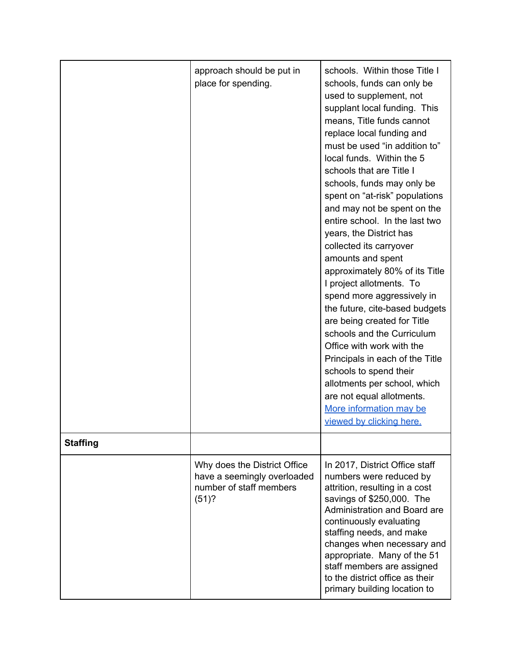|                 | approach should be put in<br>place for spending.                                                   | schools. Within those Title I<br>schools, funds can only be<br>used to supplement, not<br>supplant local funding. This<br>means, Title funds cannot<br>replace local funding and<br>must be used "in addition to"<br>local funds. Within the 5<br>schools that are Title I<br>schools, funds may only be<br>spent on "at-risk" populations<br>and may not be spent on the<br>entire school. In the last two<br>years, the District has<br>collected its carryover<br>amounts and spent<br>approximately 80% of its Title<br>I project allotments. To<br>spend more aggressively in<br>the future, cite-based budgets<br>are being created for Title<br>schools and the Curriculum<br>Office with work with the<br>Principals in each of the Title<br>schools to spend their<br>allotments per school, which<br>are not equal allotments.<br>More information may be<br>viewed by clicking here. |
|-----------------|----------------------------------------------------------------------------------------------------|-------------------------------------------------------------------------------------------------------------------------------------------------------------------------------------------------------------------------------------------------------------------------------------------------------------------------------------------------------------------------------------------------------------------------------------------------------------------------------------------------------------------------------------------------------------------------------------------------------------------------------------------------------------------------------------------------------------------------------------------------------------------------------------------------------------------------------------------------------------------------------------------------|
| <b>Staffing</b> |                                                                                                    |                                                                                                                                                                                                                                                                                                                                                                                                                                                                                                                                                                                                                                                                                                                                                                                                                                                                                                 |
|                 | Why does the District Office<br>have a seemingly overloaded<br>number of staff members<br>$(51)$ ? | In 2017, District Office staff<br>numbers were reduced by<br>attrition, resulting in a cost<br>savings of \$250,000. The<br>Administration and Board are<br>continuously evaluating<br>staffing needs, and make<br>changes when necessary and<br>appropriate. Many of the 51<br>staff members are assigned<br>to the district office as their<br>primary building location to                                                                                                                                                                                                                                                                                                                                                                                                                                                                                                                   |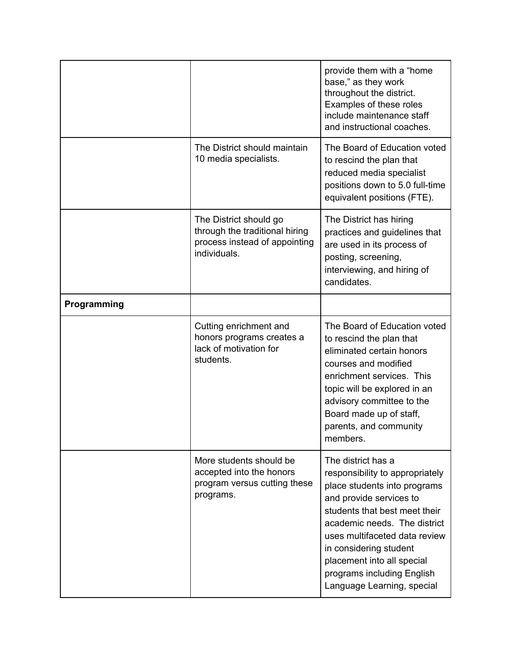|             |                                                                                                           | provide them with a "home"<br>base," as they work<br>throughout the district.<br>Examples of these roles<br>include maintenance staff<br>and instructional coaches.                                                                                                                                                                    |
|-------------|-----------------------------------------------------------------------------------------------------------|----------------------------------------------------------------------------------------------------------------------------------------------------------------------------------------------------------------------------------------------------------------------------------------------------------------------------------------|
|             | The District should maintain<br>10 media specialists.                                                     | The Board of Education voted<br>to rescind the plan that<br>reduced media specialist<br>positions down to 5.0 full-time<br>equivalent positions (FTE).                                                                                                                                                                                 |
|             | The District should go<br>through the traditional hiring<br>process instead of appointing<br>individuals. | The District has hiring<br>practices and guidelines that<br>are used in its process of<br>posting, screening,<br>interviewing, and hiring of<br>candidates.                                                                                                                                                                            |
| Programming |                                                                                                           |                                                                                                                                                                                                                                                                                                                                        |
|             | Cutting enrichment and<br>honors programs creates a<br>lack of motivation for<br>students.                | The Board of Education voted<br>to rescind the plan that<br>eliminated certain honors<br>courses and modified<br>enrichment services. This<br>topic will be explored in an<br>advisory committee to the<br>Board made up of staff,<br>parents, and community<br>members.                                                               |
|             | More students should be<br>accepted into the honors<br>program versus cutting these<br>programs.          | The district has a<br>responsibility to appropriately<br>place students into programs<br>and provide services to<br>students that best meet their<br>academic needs. The district<br>uses multifaceted data review<br>in considering student<br>placement into all special<br>programs including English<br>Language Learning, special |